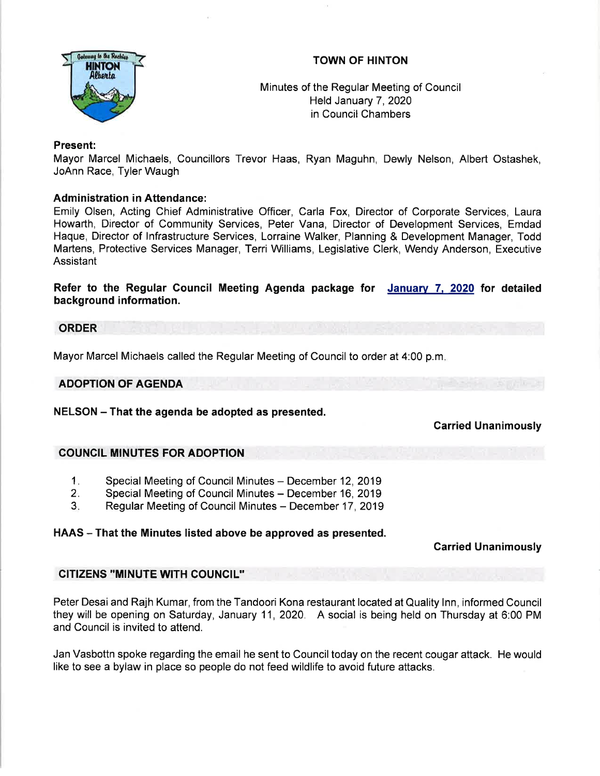

# TOWN OF HINTON

Minutes of the Regular Meeting of Council Held January 7,2020 in Council Chambers

### Present:

Mayor Marcel Michaels, Councillors Trevor Haas, Ryan Maguhn, Dewly Nelson, Albert Ostashek, JoAnn Race, Tyler Waugh

## Administration in Attendance:

Emily Olsen, Acting Chief Administrative Officer, Carla Fox, Director of Corporate Services, Laura Howarth, Director of Community Services, Peter Vana, Director of Development Services, Emdad Haque, Director of lnfrastructure Services, Lorraine Walker, Planning & Development Manager, Todd Martens, Protective Services Manager, Terri Williams, Legislative Clerk, Wendy Anderson, Executive Assistant

Refer to the Regular Gouncil Meeting Agenda package for Januarv 7. 2020 for detailed background information.

#### ORDER

Mayor Marcel Michaels called the Regular Meeting of Council to order at 4:00 p.m

#### ADOPTION OF AGENDA

NELSON – That the agenda be adopted as presented.

## Carried Unanimously

## COUNCIL MINUTES FOR ADOPTION

- Special Meeting of Council Minutes December 12, 2019 1
- Special Meeting of Council Minutes December 16, 2019  $2<sub>1</sub>$
- Regular Meeting of Council Minutes December 17, 2019 3.

## HAAS – That the Minutes listed above be approved as presented.

#### Carried Unanimously

## GITIZENS "MINUTE WITH COUNCIL"

Peter Desai and Rajh Kumar, from the Tandoori Kona restaurant located at Quality Inn, informed Council they will be opening on Saturday, January 11, 2020. A social is being held on Thursday at 6:00 PM and Council is invited to attend.

Jan Vasbottn spoke regarding the email he sent to Counciltoday on the recent cougar attack. He would like to see a bylaw in place so people do not feed wildlife to avoid future attacks.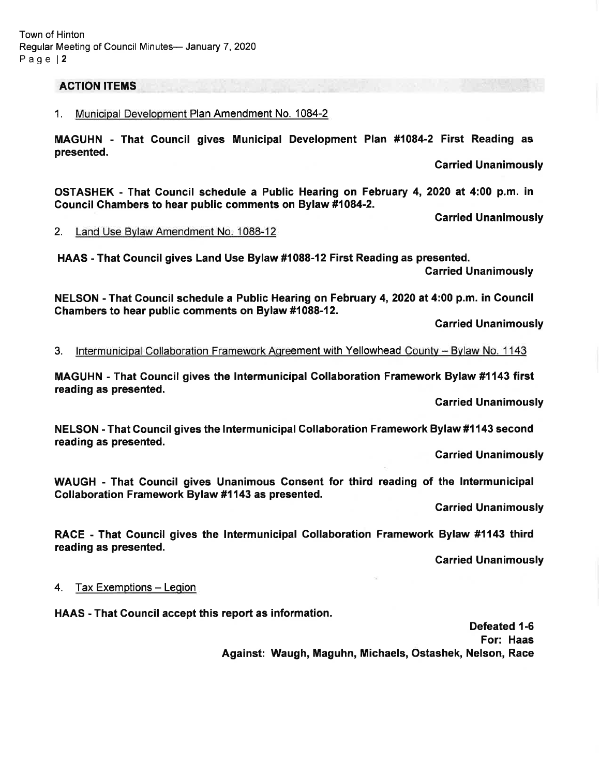#### ACTION ITEMS

#### 1. Municipal Development Plan Amendment No. 1084-2

MAGUHN - That Gouncil gives Municipal Development Plan #1084-2 First Reading as presented.

Garried Unanimously

OSTASHEK - That Council schedule a Public Hearing on February 4,2020 at 4:00 p.m. in Gouncif Ghambers to hear public comments on Bylaw #1084-2.

Garried Unanimously

2. Land Use Bvlaw Amendment No. 1088-12

HAAS - That Gouncil gives Land Use Bylaw #1088-12 First Reading as presented.

Carried Unanimously

NELSON - That Council schedule a Public Hearing on February 4,2020 at 4:00 p.m. in Gouncil Chambers to hear public comments on Bylaw #1088-12.

**Carried Unanimously** 

3. Intermunicipal Collaboration Framework Agreement with Yellowhead County - Bylaw No. 1143

MAGUHN - That Council gives the Intermunicipal Collaboration Framework Bylaw #1143 first reading as presented.

Garried Unanimously

NELSON - That Gouncil gives the Intermunicipal Collaboration Framework Bylaw #1143 second reading as presented.

Garried Unanimously

WAUGH - That Council gives Unanimous Consent for third reading of the lntermunicipal Collaboration Framework Bylaw #1143 as presented.

Garried Unanimously

RACE - That Council gives the lntermunicipal Collaboration Framework Bylaw #1143 third reading as presented.

Carried Unanimously

4. Tax Exemptions - Legion

HAAS - That Council accept this report as information.

Defeated 1-6 For: Haas Against: Waugh, Maguhn, Michaels, Ostashek, Nelson, Race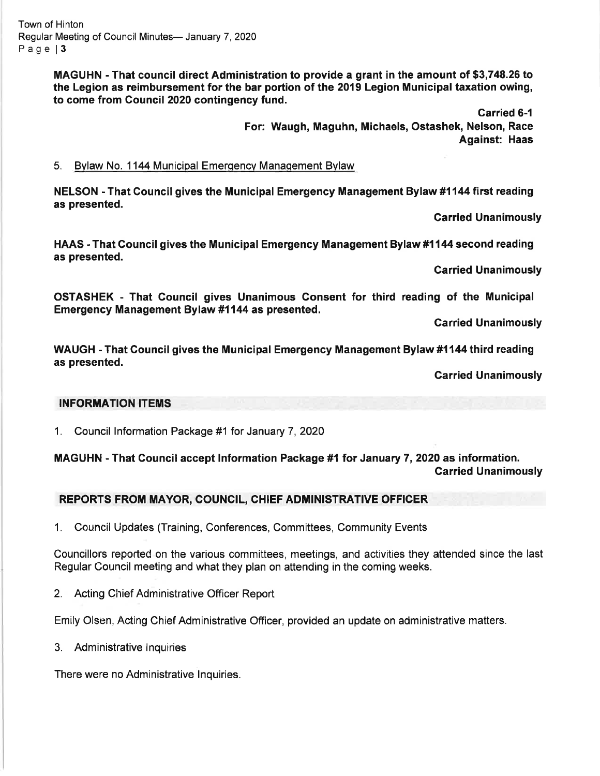MAGUHN - That council direct Administration to provide a grant in the amount of \$3,748.26 to the Legion as reimbursement for the bar portion of the 2019 Legion Municipal taxation owing, to come from Council 2020 contingency fund.

> Carried 6-1 For: Waugh, Maguhn, Michaels, Ostashek, Nelson, Race Against: Haas

### 5. Bylaw No. 1144 Municipal Emergency Management Bylaw

NELSON - That Council gives the Municipal Emergency Management Bylaw #1144 first reading as presented.

Carried Unanimously

HAAS -That Gouncil gives the Municipal Emergency Management Bylaw #1144 second reading as presented.

Garried Unanimously

OSTASHEK - That Council gives Unanimous Gonsent for third reading of the Municipal Emergency Management Bylaw #1144 as presented.

Garried Unanimously

WAUGH - That Gouncil gives the Municipal Emergency Management Bylaw #1144 third reading as presented.

Garried Unanimously

#### INFORMATION ITEMS

1. Council lnformation Package #1 for January 7,2020

# MAGUHN - That Council accept Information Package #1 for January 7, 2020 as information. Carried Unanimously

## REPORTS FROM MAYOR, COUNCIL, CHIEF ADMINISTRATIVE OFFICER

1. Council Updates (Training, Conferences, Committees, Community Events

Councillors reported on the various committees, meetings, and activities they attended since the last Regular Council meeting and what they plan on attending in the coming weeks.

2. Acting Chief Administrative Officer Report

Emily Olsen, Acting Chief Administrative Officer, provided an update on administrative matters.

3. Administrative lnquiries

There were no Administrative lnquiries.